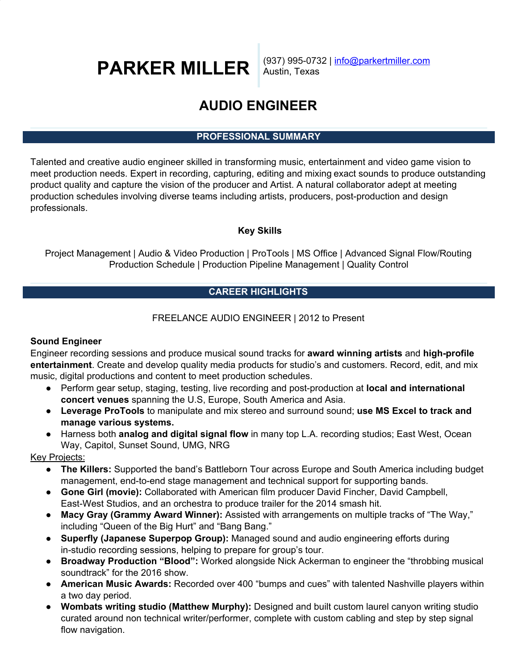# **PARKER MILLER**

(937) 995-0732 | info@parkertmiller.com Austin, Texas

# **AUDIO ENGINEER**

# **PROFESSIONAL SUMMARY**

Talented and creative audio engineer skilled in transforming music, entertainment and video game vision to meet production needs. Expert in recording, capturing, editing and mixing exact sounds to produce outstanding product quality and capture the vision of the producer and Artist. A natural collaborator adept at meeting production schedules involving diverse teams including artists, producers, post-production and design professionals.

# **Key Skills**

Project Management | Audio & Video Production | ProTools | MS Office | Advanced Signal Flow/Routing Production Schedule | Production Pipeline Management | Quality Control

# **CAREER HIGHLIGHTS**

# FREELANCE AUDIO ENGINEER | 2012 to Present

### **Sound Engineer**

Engineer recording sessions and produce musical sound tracks for **award winning artists** and **high-profile entertainment**. Create and develop quality media products for studio's and customers. Record, edit, and mix music, digital productions and content to meet production schedules.

- Perform gear setup, staging, testing, live recording and post-production at **local and international concert venues** spanning the U.S, Europe, South America and Asia.
- **● Leverage ProTools** to manipulate and mix stereo and surround sound; **use MS Excel to track and manage various systems.**
- Harness both **analog and digital signal flow** in many top L.A. recording studios; East West, Ocean Way, Capitol, Sunset Sound, UMG, NRG

Key Projects:

- **● The Killers:** Supported the band's Battleborn Tour across Europe and South America including budget management, end-to-end stage management and technical support for supporting bands.
- **Gone Girl (movie):** Collaborated with American film producer David Fincher, David Campbell, East-West Studios, and an orchestra to produce trailer for the 2014 smash hit.
- **Macy Gray (Grammy Award Winner):** Assisted with arrangements on multiple tracks of "The Way," including "Queen of the Big Hurt" and "Bang Bang."
- **Superfly (Japanese Superpop Group):** Managed sound and audio engineering efforts during in-studio recording sessions, helping to prepare for group's tour.
- **Broadway Production "Blood":** Worked alongside Nick Ackerman to engineer the "throbbing musical soundtrack" for the 2016 show.
- **● American Music Awards:** Recorded over 400 "bumps and cues" with talented Nashville players within a two day period.
- **● Wombats writing studio (Matthew Murphy):** Designed and built custom laurel canyon writing studio curated around non technical writer/performer, complete with custom cabling and step by step signal flow navigation.